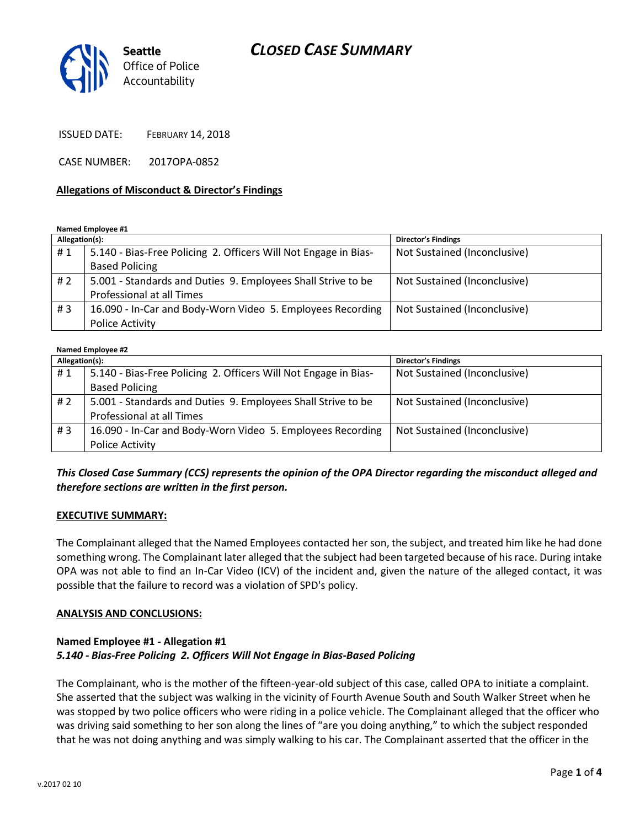# *CLOSED CASE SUMMARY*



ISSUED DATE: FEBRUARY 14, 2018

CASE NUMBER: 2017OPA-0852

#### **Allegations of Misconduct & Director's Findings**

**Named Employee #1**

| Allegation(s): |                                                                 | <b>Director's Findings</b>   |
|----------------|-----------------------------------------------------------------|------------------------------|
| #1             | 5.140 - Bias-Free Policing 2. Officers Will Not Engage in Bias- | Not Sustained (Inconclusive) |
|                | <b>Based Policing</b>                                           |                              |
| #2             | 5.001 - Standards and Duties 9. Employees Shall Strive to be    | Not Sustained (Inconclusive) |
|                | <b>Professional at all Times</b>                                |                              |
| #3             | 16.090 - In-Car and Body-Worn Video 5. Employees Recording      | Not Sustained (Inconclusive) |
|                | Police Activity                                                 |                              |

#### **Named Employee #2 Allegation(s): Director's Findings** # 1 | 5.140 - Bias-Free Policing 2. Officers Will Not Engage in Bias-Based Policing Not Sustained (Inconclusive) # 2 | 5.001 - Standards and Duties 9. Employees Shall Strive to be Professional at all Times Not Sustained (Inconclusive) # 3 | 16.090 - In-Car and Body-Worn Video 5. Employees Recording Police Activity Not Sustained (Inconclusive)

# *This Closed Case Summary (CCS) represents the opinion of the OPA Director regarding the misconduct alleged and therefore sections are written in the first person.*

#### **EXECUTIVE SUMMARY:**

The Complainant alleged that the Named Employees contacted her son, the subject, and treated him like he had done something wrong. The Complainant later alleged that the subject had been targeted because of his race. During intake OPA was not able to find an In-Car Video (ICV) of the incident and, given the nature of the alleged contact, it was possible that the failure to record was a violation of SPD's policy.

#### **ANALYSIS AND CONCLUSIONS:**

### **Named Employee #1 - Allegation #1** *5.140 - Bias-Free Policing 2. Officers Will Not Engage in Bias-Based Policing*

The Complainant, who is the mother of the fifteen-year-old subject of this case, called OPA to initiate a complaint. She asserted that the subject was walking in the vicinity of Fourth Avenue South and South Walker Street when he was stopped by two police officers who were riding in a police vehicle. The Complainant alleged that the officer who was driving said something to her son along the lines of "are you doing anything," to which the subject responded that he was not doing anything and was simply walking to his car. The Complainant asserted that the officer in the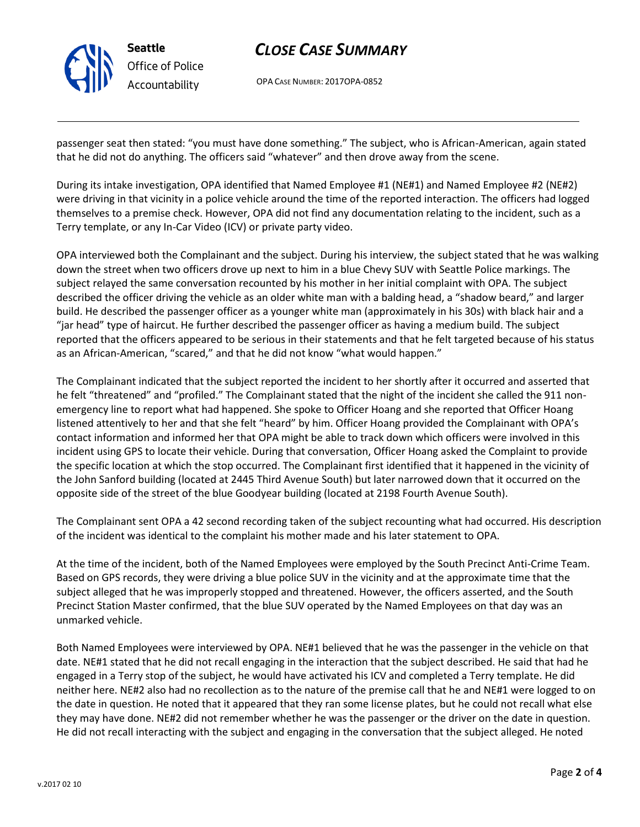

# *CLOSE CASE SUMMARY*

OPA CASE NUMBER: 2017OPA-0852

passenger seat then stated: "you must have done something." The subject, who is African-American, again stated that he did not do anything. The officers said "whatever" and then drove away from the scene.

During its intake investigation, OPA identified that Named Employee #1 (NE#1) and Named Employee #2 (NE#2) were driving in that vicinity in a police vehicle around the time of the reported interaction. The officers had logged themselves to a premise check. However, OPA did not find any documentation relating to the incident, such as a Terry template, or any In-Car Video (ICV) or private party video.

OPA interviewed both the Complainant and the subject. During his interview, the subject stated that he was walking down the street when two officers drove up next to him in a blue Chevy SUV with Seattle Police markings. The subject relayed the same conversation recounted by his mother in her initial complaint with OPA. The subject described the officer driving the vehicle as an older white man with a balding head, a "shadow beard," and larger build. He described the passenger officer as a younger white man (approximately in his 30s) with black hair and a "jar head" type of haircut. He further described the passenger officer as having a medium build. The subject reported that the officers appeared to be serious in their statements and that he felt targeted because of his status as an African-American, "scared," and that he did not know "what would happen."

The Complainant indicated that the subject reported the incident to her shortly after it occurred and asserted that he felt "threatened" and "profiled." The Complainant stated that the night of the incident she called the 911 nonemergency line to report what had happened. She spoke to Officer Hoang and she reported that Officer Hoang listened attentively to her and that she felt "heard" by him. Officer Hoang provided the Complainant with OPA's contact information and informed her that OPA might be able to track down which officers were involved in this incident using GPS to locate their vehicle. During that conversation, Officer Hoang asked the Complaint to provide the specific location at which the stop occurred. The Complainant first identified that it happened in the vicinity of the John Sanford building (located at 2445 Third Avenue South) but later narrowed down that it occurred on the opposite side of the street of the blue Goodyear building (located at 2198 Fourth Avenue South).

The Complainant sent OPA a 42 second recording taken of the subject recounting what had occurred. His description of the incident was identical to the complaint his mother made and his later statement to OPA.

At the time of the incident, both of the Named Employees were employed by the South Precinct Anti-Crime Team. Based on GPS records, they were driving a blue police SUV in the vicinity and at the approximate time that the subject alleged that he was improperly stopped and threatened. However, the officers asserted, and the South Precinct Station Master confirmed, that the blue SUV operated by the Named Employees on that day was an unmarked vehicle.

Both Named Employees were interviewed by OPA. NE#1 believed that he was the passenger in the vehicle on that date. NE#1 stated that he did not recall engaging in the interaction that the subject described. He said that had he engaged in a Terry stop of the subject, he would have activated his ICV and completed a Terry template. He did neither here. NE#2 also had no recollection as to the nature of the premise call that he and NE#1 were logged to on the date in question. He noted that it appeared that they ran some license plates, but he could not recall what else they may have done. NE#2 did not remember whether he was the passenger or the driver on the date in question. He did not recall interacting with the subject and engaging in the conversation that the subject alleged. He noted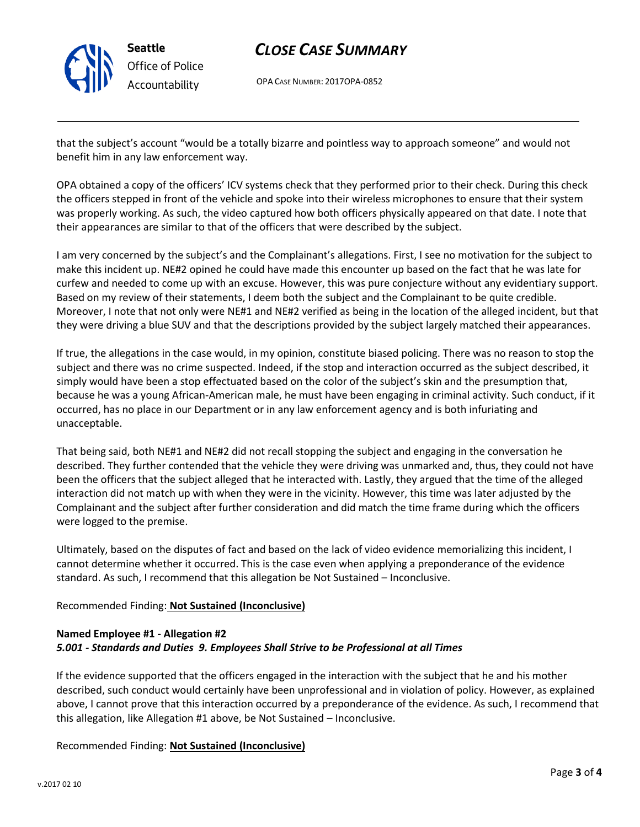

# *CLOSE CASE SUMMARY*

OPA CASE NUMBER: 2017OPA-0852

that the subject's account "would be a totally bizarre and pointless way to approach someone" and would not benefit him in any law enforcement way.

OPA obtained a copy of the officers' ICV systems check that they performed prior to their check. During this check the officers stepped in front of the vehicle and spoke into their wireless microphones to ensure that their system was properly working. As such, the video captured how both officers physically appeared on that date. I note that their appearances are similar to that of the officers that were described by the subject.

I am very concerned by the subject's and the Complainant's allegations. First, I see no motivation for the subject to make this incident up. NE#2 opined he could have made this encounter up based on the fact that he was late for curfew and needed to come up with an excuse. However, this was pure conjecture without any evidentiary support. Based on my review of their statements, I deem both the subject and the Complainant to be quite credible. Moreover, I note that not only were NE#1 and NE#2 verified as being in the location of the alleged incident, but that they were driving a blue SUV and that the descriptions provided by the subject largely matched their appearances.

If true, the allegations in the case would, in my opinion, constitute biased policing. There was no reason to stop the subject and there was no crime suspected. Indeed, if the stop and interaction occurred as the subject described, it simply would have been a stop effectuated based on the color of the subject's skin and the presumption that, because he was a young African-American male, he must have been engaging in criminal activity. Such conduct, if it occurred, has no place in our Department or in any law enforcement agency and is both infuriating and unacceptable.

That being said, both NE#1 and NE#2 did not recall stopping the subject and engaging in the conversation he described. They further contended that the vehicle they were driving was unmarked and, thus, they could not have been the officers that the subject alleged that he interacted with. Lastly, they argued that the time of the alleged interaction did not match up with when they were in the vicinity. However, this time was later adjusted by the Complainant and the subject after further consideration and did match the time frame during which the officers were logged to the premise.

Ultimately, based on the disputes of fact and based on the lack of video evidence memorializing this incident, I cannot determine whether it occurred. This is the case even when applying a preponderance of the evidence standard. As such, I recommend that this allegation be Not Sustained – Inconclusive.

# Recommended Finding: **Not Sustained (Inconclusive)**

# **Named Employee #1 - Allegation #2** *5.001 - Standards and Duties 9. Employees Shall Strive to be Professional at all Times*

If the evidence supported that the officers engaged in the interaction with the subject that he and his mother described, such conduct would certainly have been unprofessional and in violation of policy. However, as explained above, I cannot prove that this interaction occurred by a preponderance of the evidence. As such, I recommend that this allegation, like Allegation #1 above, be Not Sustained – Inconclusive.

Recommended Finding: **Not Sustained (Inconclusive)**